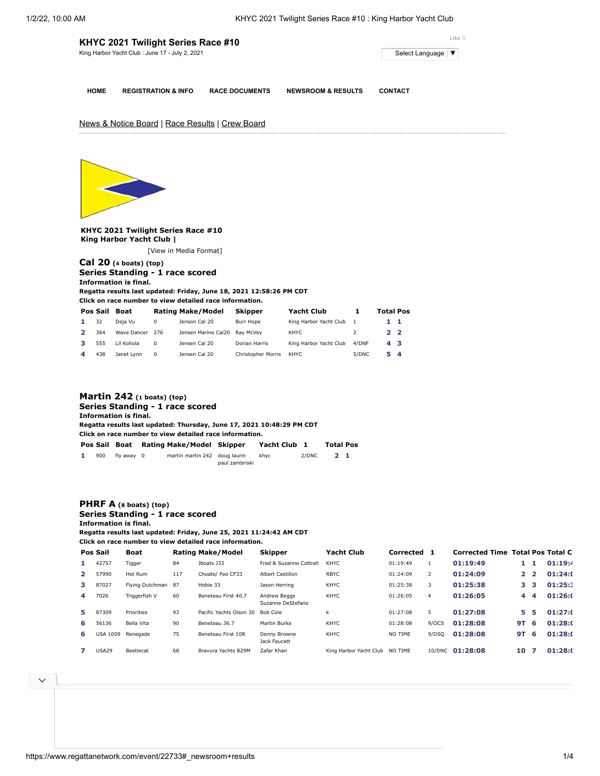| Like 0<br>KHYC 2021 Twilight Series Race #10<br>King Harbor Yacht Club : June 17 - July 2, 2021<br>Select Language   ▼<br><b>HOME</b><br><b>REGISTRATION &amp; INFO</b><br><b>RACE DOCUMENTS</b><br><b>NEWSROOM &amp; RESULTS</b><br><b>CONTACT</b><br>News & Notice Board   Race Results   Crew Board<br>KHYC 2021 Twilight Series Race #10<br>King Harbor Yacht Club  <br>[View in Media Format]<br>Cal 20 (4 boats) (top)<br>Series Standing - 1 race scored<br><b>Information is final.</b><br>Regatta results last updated: Friday, June 18, 2021 12:58:26 PM CDT<br>Click on race number to view detailed race information.<br>Pos Sail Boat<br><b>Rating Make/Model</b><br><b>Total Pos</b><br><b>Skipper</b><br><b>Yacht Club</b><br>1<br>32<br>$\mathbf 0$<br>Jenson Cal 20<br><b>Burr Hope</b><br>King Harbor Yacht Club 1<br>$1\quad1$<br>1<br>Deja Vu<br>2 <sub>2</sub><br>2<br>364<br>Wave Dancer 276<br>Jensen Marine Cal20 Ray McVey<br>KHYC<br>$\overline{2}$<br>з<br>555<br>Lil Kohola<br>Jensen Cal 20<br>Dorian Harris<br>King Harbor Yacht Club 4/DNF<br>4 <sub>3</sub><br>$\Omega$<br>5/DNC<br>4<br>438<br>Janet Lynn<br>0<br>Jensen Cal 20<br>Christopher Morris<br>KHYC<br>5 <sub>4</sub><br>Martin 242 (1 boats) (top)<br>Series Standing - 1 race scored<br><b>Information is final.</b><br>Regatta results last updated: Thursday, June 17, 2021 10:48:29 PM CDT<br>Click on race number to view detailed race information.<br>Pos Sail Boat<br>Rating Make/Model Skipper<br>Yacht Club 1<br><b>Total Pos</b><br>900<br>2/DNC<br>2 <sub>1</sub><br>1<br>fly away 0<br>martin martin 242 doug laurin<br>khyc<br>paul zambriski | 1/2/22, 10:00 AM |  |  | KHYC 2021 Twilight Series Race #10: King Harbor Yacht Club |  |  |  |  |  |  |  |  |  |  |
|---------------------------------------------------------------------------------------------------------------------------------------------------------------------------------------------------------------------------------------------------------------------------------------------------------------------------------------------------------------------------------------------------------------------------------------------------------------------------------------------------------------------------------------------------------------------------------------------------------------------------------------------------------------------------------------------------------------------------------------------------------------------------------------------------------------------------------------------------------------------------------------------------------------------------------------------------------------------------------------------------------------------------------------------------------------------------------------------------------------------------------------------------------------------------------------------------------------------------------------------------------------------------------------------------------------------------------------------------------------------------------------------------------------------------------------------------------------------------------------------------------------------------------------------------------------------------------------------------------------------------------------------------------|------------------|--|--|------------------------------------------------------------|--|--|--|--|--|--|--|--|--|--|
|                                                                                                                                                                                                                                                                                                                                                                                                                                                                                                                                                                                                                                                                                                                                                                                                                                                                                                                                                                                                                                                                                                                                                                                                                                                                                                                                                                                                                                                                                                                                                                                                                                                         |                  |  |  |                                                            |  |  |  |  |  |  |  |  |  |  |
|                                                                                                                                                                                                                                                                                                                                                                                                                                                                                                                                                                                                                                                                                                                                                                                                                                                                                                                                                                                                                                                                                                                                                                                                                                                                                                                                                                                                                                                                                                                                                                                                                                                         |                  |  |  |                                                            |  |  |  |  |  |  |  |  |  |  |
|                                                                                                                                                                                                                                                                                                                                                                                                                                                                                                                                                                                                                                                                                                                                                                                                                                                                                                                                                                                                                                                                                                                                                                                                                                                                                                                                                                                                                                                                                                                                                                                                                                                         |                  |  |  |                                                            |  |  |  |  |  |  |  |  |  |  |
|                                                                                                                                                                                                                                                                                                                                                                                                                                                                                                                                                                                                                                                                                                                                                                                                                                                                                                                                                                                                                                                                                                                                                                                                                                                                                                                                                                                                                                                                                                                                                                                                                                                         |                  |  |  |                                                            |  |  |  |  |  |  |  |  |  |  |
|                                                                                                                                                                                                                                                                                                                                                                                                                                                                                                                                                                                                                                                                                                                                                                                                                                                                                                                                                                                                                                                                                                                                                                                                                                                                                                                                                                                                                                                                                                                                                                                                                                                         |                  |  |  |                                                            |  |  |  |  |  |  |  |  |  |  |
|                                                                                                                                                                                                                                                                                                                                                                                                                                                                                                                                                                                                                                                                                                                                                                                                                                                                                                                                                                                                                                                                                                                                                                                                                                                                                                                                                                                                                                                                                                                                                                                                                                                         |                  |  |  |                                                            |  |  |  |  |  |  |  |  |  |  |
|                                                                                                                                                                                                                                                                                                                                                                                                                                                                                                                                                                                                                                                                                                                                                                                                                                                                                                                                                                                                                                                                                                                                                                                                                                                                                                                                                                                                                                                                                                                                                                                                                                                         |                  |  |  |                                                            |  |  |  |  |  |  |  |  |  |  |
|                                                                                                                                                                                                                                                                                                                                                                                                                                                                                                                                                                                                                                                                                                                                                                                                                                                                                                                                                                                                                                                                                                                                                                                                                                                                                                                                                                                                                                                                                                                                                                                                                                                         |                  |  |  |                                                            |  |  |  |  |  |  |  |  |  |  |
|                                                                                                                                                                                                                                                                                                                                                                                                                                                                                                                                                                                                                                                                                                                                                                                                                                                                                                                                                                                                                                                                                                                                                                                                                                                                                                                                                                                                                                                                                                                                                                                                                                                         |                  |  |  |                                                            |  |  |  |  |  |  |  |  |  |  |
|                                                                                                                                                                                                                                                                                                                                                                                                                                                                                                                                                                                                                                                                                                                                                                                                                                                                                                                                                                                                                                                                                                                                                                                                                                                                                                                                                                                                                                                                                                                                                                                                                                                         |                  |  |  |                                                            |  |  |  |  |  |  |  |  |  |  |
|                                                                                                                                                                                                                                                                                                                                                                                                                                                                                                                                                                                                                                                                                                                                                                                                                                                                                                                                                                                                                                                                                                                                                                                                                                                                                                                                                                                                                                                                                                                                                                                                                                                         |                  |  |  |                                                            |  |  |  |  |  |  |  |  |  |  |
|                                                                                                                                                                                                                                                                                                                                                                                                                                                                                                                                                                                                                                                                                                                                                                                                                                                                                                                                                                                                                                                                                                                                                                                                                                                                                                                                                                                                                                                                                                                                                                                                                                                         |                  |  |  |                                                            |  |  |  |  |  |  |  |  |  |  |
|                                                                                                                                                                                                                                                                                                                                                                                                                                                                                                                                                                                                                                                                                                                                                                                                                                                                                                                                                                                                                                                                                                                                                                                                                                                                                                                                                                                                                                                                                                                                                                                                                                                         |                  |  |  |                                                            |  |  |  |  |  |  |  |  |  |  |
|                                                                                                                                                                                                                                                                                                                                                                                                                                                                                                                                                                                                                                                                                                                                                                                                                                                                                                                                                                                                                                                                                                                                                                                                                                                                                                                                                                                                                                                                                                                                                                                                                                                         |                  |  |  |                                                            |  |  |  |  |  |  |  |  |  |  |
|                                                                                                                                                                                                                                                                                                                                                                                                                                                                                                                                                                                                                                                                                                                                                                                                                                                                                                                                                                                                                                                                                                                                                                                                                                                                                                                                                                                                                                                                                                                                                                                                                                                         |                  |  |  |                                                            |  |  |  |  |  |  |  |  |  |  |
|                                                                                                                                                                                                                                                                                                                                                                                                                                                                                                                                                                                                                                                                                                                                                                                                                                                                                                                                                                                                                                                                                                                                                                                                                                                                                                                                                                                                                                                                                                                                                                                                                                                         |                  |  |  |                                                            |  |  |  |  |  |  |  |  |  |  |
|                                                                                                                                                                                                                                                                                                                                                                                                                                                                                                                                                                                                                                                                                                                                                                                                                                                                                                                                                                                                                                                                                                                                                                                                                                                                                                                                                                                                                                                                                                                                                                                                                                                         |                  |  |  |                                                            |  |  |  |  |  |  |  |  |  |  |
|                                                                                                                                                                                                                                                                                                                                                                                                                                                                                                                                                                                                                                                                                                                                                                                                                                                                                                                                                                                                                                                                                                                                                                                                                                                                                                                                                                                                                                                                                                                                                                                                                                                         |                  |  |  |                                                            |  |  |  |  |  |  |  |  |  |  |
|                                                                                                                                                                                                                                                                                                                                                                                                                                                                                                                                                                                                                                                                                                                                                                                                                                                                                                                                                                                                                                                                                                                                                                                                                                                                                                                                                                                                                                                                                                                                                                                                                                                         |                  |  |  |                                                            |  |  |  |  |  |  |  |  |  |  |
|                                                                                                                                                                                                                                                                                                                                                                                                                                                                                                                                                                                                                                                                                                                                                                                                                                                                                                                                                                                                                                                                                                                                                                                                                                                                                                                                                                                                                                                                                                                                                                                                                                                         |                  |  |  |                                                            |  |  |  |  |  |  |  |  |  |  |
|                                                                                                                                                                                                                                                                                                                                                                                                                                                                                                                                                                                                                                                                                                                                                                                                                                                                                                                                                                                                                                                                                                                                                                                                                                                                                                                                                                                                                                                                                                                                                                                                                                                         |                  |  |  |                                                            |  |  |  |  |  |  |  |  |  |  |
|                                                                                                                                                                                                                                                                                                                                                                                                                                                                                                                                                                                                                                                                                                                                                                                                                                                                                                                                                                                                                                                                                                                                                                                                                                                                                                                                                                                                                                                                                                                                                                                                                                                         |                  |  |  |                                                            |  |  |  |  |  |  |  |  |  |  |
|                                                                                                                                                                                                                                                                                                                                                                                                                                                                                                                                                                                                                                                                                                                                                                                                                                                                                                                                                                                                                                                                                                                                                                                                                                                                                                                                                                                                                                                                                                                                                                                                                                                         |                  |  |  |                                                            |  |  |  |  |  |  |  |  |  |  |
|                                                                                                                                                                                                                                                                                                                                                                                                                                                                                                                                                                                                                                                                                                                                                                                                                                                                                                                                                                                                                                                                                                                                                                                                                                                                                                                                                                                                                                                                                                                                                                                                                                                         |                  |  |  |                                                            |  |  |  |  |  |  |  |  |  |  |
|                                                                                                                                                                                                                                                                                                                                                                                                                                                                                                                                                                                                                                                                                                                                                                                                                                                                                                                                                                                                                                                                                                                                                                                                                                                                                                                                                                                                                                                                                                                                                                                                                                                         |                  |  |  |                                                            |  |  |  |  |  |  |  |  |  |  |
|                                                                                                                                                                                                                                                                                                                                                                                                                                                                                                                                                                                                                                                                                                                                                                                                                                                                                                                                                                                                                                                                                                                                                                                                                                                                                                                                                                                                                                                                                                                                                                                                                                                         |                  |  |  |                                                            |  |  |  |  |  |  |  |  |  |  |
|                                                                                                                                                                                                                                                                                                                                                                                                                                                                                                                                                                                                                                                                                                                                                                                                                                                                                                                                                                                                                                                                                                                                                                                                                                                                                                                                                                                                                                                                                                                                                                                                                                                         |                  |  |  |                                                            |  |  |  |  |  |  |  |  |  |  |
|                                                                                                                                                                                                                                                                                                                                                                                                                                                                                                                                                                                                                                                                                                                                                                                                                                                                                                                                                                                                                                                                                                                                                                                                                                                                                                                                                                                                                                                                                                                                                                                                                                                         |                  |  |  |                                                            |  |  |  |  |  |  |  |  |  |  |
|                                                                                                                                                                                                                                                                                                                                                                                                                                                                                                                                                                                                                                                                                                                                                                                                                                                                                                                                                                                                                                                                                                                                                                                                                                                                                                                                                                                                                                                                                                                                                                                                                                                         |                  |  |  |                                                            |  |  |  |  |  |  |  |  |  |  |
|                                                                                                                                                                                                                                                                                                                                                                                                                                                                                                                                                                                                                                                                                                                                                                                                                                                                                                                                                                                                                                                                                                                                                                                                                                                                                                                                                                                                                                                                                                                                                                                                                                                         |                  |  |  |                                                            |  |  |  |  |  |  |  |  |  |  |
|                                                                                                                                                                                                                                                                                                                                                                                                                                                                                                                                                                                                                                                                                                                                                                                                                                                                                                                                                                                                                                                                                                                                                                                                                                                                                                                                                                                                                                                                                                                                                                                                                                                         |                  |  |  |                                                            |  |  |  |  |  |  |  |  |  |  |

# **Series Standing - 1 race scored Information is final.**

**Regatta results last updated: Friday, June 25, 2021 11:24:42 AM CDT Click on race number to view detailed race information.**

|    | Pos Sail        | Boat               |     | <b>Rating Make/Model</b> | <b>Skipper</b>                    | <b>Yacht Club</b>      | Corrected 1 |                | <b>Corrected Time Total Pos Total C</b> |    |                |         |
|----|-----------------|--------------------|-----|--------------------------|-----------------------------------|------------------------|-------------|----------------|-----------------------------------------|----|----------------|---------|
| 1. | 42757           | Tigger             | 84  | Jboats J33               | Fred & Suzanne Cottrell           | KHYC.                  | 01:19:49    |                | 01:19:49                                |    |                | 01:19:4 |
| 2. | 57990           | Hot Rum            | 117 | Choate/ Feo CF33         | Albert Castillon                  | <b>RBYC</b>            | 01:24:09    | 2              | 01:24:09                                | 2  | $\overline{2}$ | 01:24:0 |
| 3. | 87027           | Flying Dutchman 87 |     | Hobie 33                 | Jason Herring                     | <b>KHYC</b>            | 01:25:38    | 3              | 01:25:38                                | з  | з              | 01:25:3 |
| 4  | 7026            | Triggerfish V      | 60  | Beneteau First 40.7      | Andrew Beggs<br>Suzanne DeStefano | <b>KHYC</b>            | 01:26:05    | $\overline{4}$ | 01:26:05                                | 4  | 4              | 01:26:0 |
| 5. | 87309           | Priorities         | 93  | Pacific Yachts Olson 30  | Bob Cole                          | k                      | 01:27:08    | 5              | 01:27:08                                | 5. | 5              | 01:27:0 |
| 6. | 56136           | Bella Vita         | 90  | Beneteau 36.7            | Martin Burke                      | <b>KHYC</b>            | 01:28:08    | 9/0CS          | 01:28:08                                | 9Τ | 6              | 01:28:0 |
| 6  | <b>USA 1009</b> | Renegade           | 75  | Beneteau First 10R       | Denny Browne<br>Jack Faucett      | <b>KHYC</b>            | NO TIME     | 9/DSO          | 01:28:08                                | 9Τ | 6              | 01:28:0 |
|    | <b>USA29</b>    | Beetlecat          | 68  | Brayura Yachts B29M      | Zafar Khan                        | King Harbor Yacht Club | NO TIME     |                | 10/DNC 01:28:08                         | 10 |                | 01:28:0 |

 $\sim$  1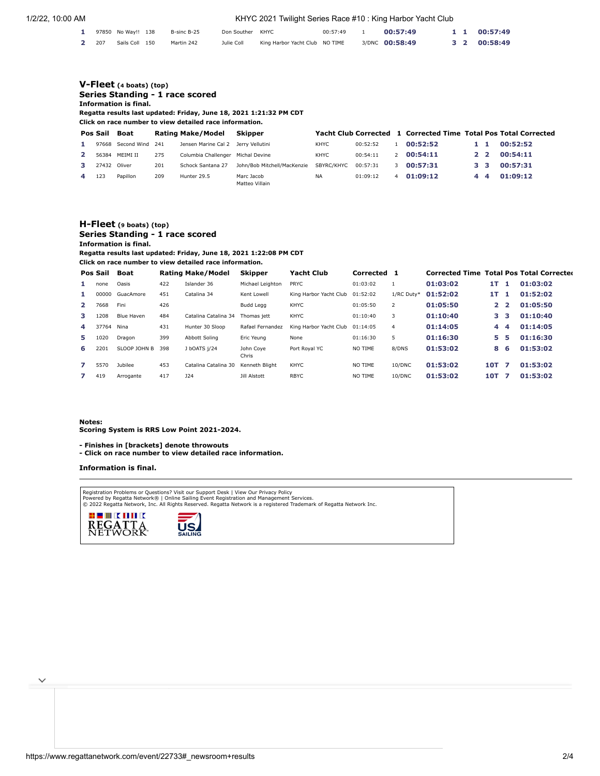## 1/2/22, 10:00 AM KHYC 2021 Twilight Series Race #10 : King Harbor Yacht Club

|     | 97850 No Wav!! 138 | B-sinc B-25 | Don Souther KHYC |                                | 00:57:49 | 00:57:49       |  | 1 1 00:57:49 |
|-----|--------------------|-------------|------------------|--------------------------------|----------|----------------|--|--------------|
| 207 | Sails Coll 150     | Martin 242  | Julie Coll       | King Harbor Yacht Club NO TIME |          | 3/DNC 00:58:49 |  | 3 2 00:58:49 |

### **[V-Fleet](https://www.regattanetwork.com/clubmgmt/applet_regatta_results.php?regatta_id=22733&show_manufacturer=1&show_crew=1&limit_fleet=V-Fleet) (4 boats) (top) Series Standing - 1 race scored Information is final.**

**Regatta results last updated: Friday, June 18, 2021 1:21:32 PM CDT**

**Click on race number to view detailed race information.**

|   | Pos Sail     | Boat                  |     | <b>Rating Make/Model</b>            | Skipper                      |             |          |   |          |             | Yacht Club Corrected 1 Corrected Time Total Pos Total Corrected |
|---|--------------|-----------------------|-----|-------------------------------------|------------------------------|-------------|----------|---|----------|-------------|-----------------------------------------------------------------|
|   |              | 97668 Second Wind 241 |     | Jensen Marine Cal 2 Jerry Vellutini |                              | <b>KHYC</b> | 00:52:52 |   | 00:52:52 | 11          | 00:52:52                                                        |
| 2 |              | 56384 MEIMI II        | 275 | Columbia Challenger Michal Devine   |                              | <b>KHYC</b> | 00:54:11 |   | 00:54:11 | $2^{\circ}$ | 00:54:11                                                        |
|   | 27432 Oliver |                       | 201 | Schock Santana 27                   | John/Bob Mitchell/MacKenzie  | SBYRC/KHYC  | 00:57:31 |   | 00:57:31 | 33          | 00:57:31                                                        |
| 4 | 123          | Papillon              | 209 | Hunter 29.5                         | Marc Jacob<br>Matteo Villain | <b>NA</b>   | 01:09:12 | 4 | 01:09:12 | 44          | 01:09:12                                                        |

## **[H-Fleet](https://www.regattanetwork.com/clubmgmt/applet_regatta_results.php?regatta_id=22733&show_manufacturer=1&show_crew=1&limit_fleet=H-Fleet) (9 boats) (top) Series Standing - 1 race scored Information is final.**

**Regatta results last updated: Friday, June 18, 2021 1:22:08 PM CDT**

**Click on race number to view detailed race information.**

|                | Pos Sail | Boat            |     | <b>Rating Make/Model</b>         | <b>Skipper</b>     | <b>Yacht Club</b>      | Corrected | 1              | <b>Corrected Time Total Pos Total Correcter</b> |                      |                         |          |
|----------------|----------|-----------------|-----|----------------------------------|--------------------|------------------------|-----------|----------------|-------------------------------------------------|----------------------|-------------------------|----------|
| 1.             | none     | Oasis           | 422 | Islander 36                      | Michael Leighton   | <b>PRYC</b>            | 01:03:02  |                | 01:03:02                                        | 1T                   | -1                      | 01:03:02 |
|                |          | 00000 GuacAmore | 451 | Catalina 34                      | Kent Lowell        | King Harbor Yacht Club | 01:52:02  | 1/RC Duty*     | 01:52:02                                        | 1T                   |                         | 01:52:02 |
| $\overline{2}$ | 7668     | Fini            | 426 |                                  | Budd Legg          | <b>KHYC</b>            | 01:05:50  |                | 01:05:50                                        | $\mathbf{2}^{\circ}$ | $\overline{\mathbf{2}}$ | 01:05:50 |
| з              | 1208     | Blue Haven      | 484 | Catalina Catalina 34 Thomas jett |                    | <b>KHYC</b>            | 01:10:40  | 3              | 01:10:40                                        | з.                   | з                       | 01:10:40 |
| 4              | 37764    | Nina            | 431 | Hunter 30 Sloop                  | Rafael Fernandez   | King Harbor Yacht Club | 01:14:05  | $\overline{4}$ | 01:14:05                                        | 4                    | 4                       | 01:14:05 |
| 5.             | 1020     | Dragon          | 399 | Abbott Soling                    | Eric Yeung         | None                   | 01:16:30  | 5              | 01:16:30                                        | 5.                   | 5                       | 01:16:30 |
| 6              | 2201     | SLOOP JOHN B    | 398 | J bOATS 1/24                     | John Cove<br>Chris | Port Roval YC          | NO TIME   | 8/DNS          | 01:53:02                                        | 8                    | -6                      | 01:53:02 |
|                | 5570     | Jubilee         | 453 | Catalina Catalina 30             | Kenneth Blight     | <b>KHYC</b>            | NO TIME   | 10/DNC         | 01:53:02                                        | 10T                  |                         | 01:53:02 |
|                | 419      | Arrogante       | 417 | 124                              | Jill Alstott       | <b>RBYC</b>            | NO TIME   | 10/DNC         | 01:53:02                                        | <b>10T</b>           |                         | 01:53:02 |

**Notes:**

 $\checkmark$ 

**Scoring System is RRS Low Point 2021-2024.**

**- Finishes in [brackets] denote throwouts** 

**- Click on race number to view detailed race information.**

US,

#### **Information is final.**

Registration Problems or Questions? [Visit our Support Desk](http://support.regattanetwork.com/) | [View Our Privacy Policy](https://www.regattanetwork.com/html/privacy.html)<br>[Powered by Regatta Network®](http://www.regattanetwork.com/) | Online Sailing Event Registration and Management Services.<br>© 2022 [Regatta Network,](http://www.regattanetwork.com/) Inc. All Rights Reserved

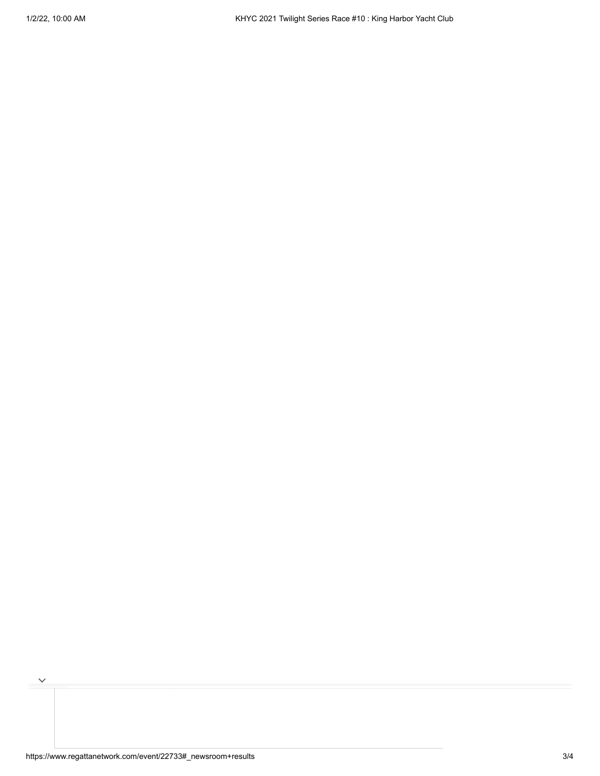$\checkmark$